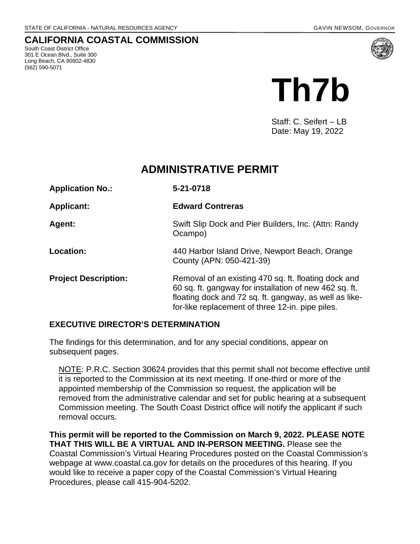#### **CALIFORNIA COASTAL COMMISSION**

South Coast District Office 301 E Ocean Blvd., Suite 300 Long Beach, CA 90802-4830 (562) 590-5071



Staff: C. Seifert – LB Date: May 19, 2022

## **ADMINISTRATIVE PERMIT**

| <b>Application No.:</b>     | 5-21-0718                                                                                                                                                                                                                    |
|-----------------------------|------------------------------------------------------------------------------------------------------------------------------------------------------------------------------------------------------------------------------|
| <b>Applicant:</b>           | <b>Edward Contreras</b>                                                                                                                                                                                                      |
| <b>Agent:</b>               | Swift Slip Dock and Pier Builders, Inc. (Attn: Randy<br>Ocampo)                                                                                                                                                              |
| Location:                   | 440 Harbor Island Drive, Newport Beach, Orange<br>County (APN: 050-421-39)                                                                                                                                                   |
| <b>Project Description:</b> | Removal of an existing 470 sq. ft. floating dock and<br>60 sq. ft. gangway for installation of new 462 sq. ft.<br>floating dock and 72 sq. ft. gangway, as well as like-<br>for-like replacement of three 12-in. pipe piles. |

#### **EXECUTIVE DIRECTOR'S DETERMINATION**

The findings for this determination, and for any special conditions, appear on subsequent pages.

NOTE: P.R.C. Section 30624 provides that this permit shall not become effective until it is reported to the Commission at its next meeting. If one-third or more of the appointed membership of the Commission so request, the application will be removed from the administrative calendar and set for public hearing at a subsequent Commission meeting. The South Coast District office will notify the applicant if such removal occurs.

**This permit will be reported to the Commission on March 9, 2022. PLEASE NOTE THAT THIS WILL BE A VIRTUAL AND IN-PERSON MEETING.** Please see the Coastal Commission's Virtual Hearing Procedures posted on the Coastal Commission's webpage at www.coastal.ca.gov for details on the procedures of this hearing. If you would like to receive a paper copy of the Coastal Commission's Virtual Hearing Procedures, please call 415-904-5202.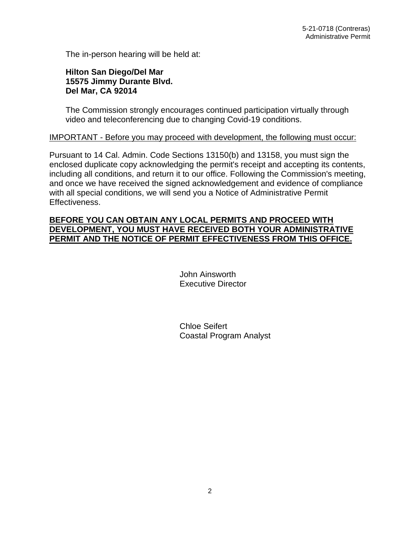The in-person hearing will be held at:

#### **Hilton San Diego/Del Mar 15575 Jimmy Durante Blvd. Del Mar, CA 92014**

The Commission strongly encourages continued participation virtually through video and teleconferencing due to changing Covid-19 conditions.

#### IMPORTANT - Before you may proceed with development, the following must occur:

Pursuant to 14 Cal. Admin. Code Sections 13150(b) and 13158, you must sign the enclosed duplicate copy acknowledging the permit's receipt and accepting its contents, including all conditions, and return it to our office. Following the Commission's meeting, and once we have received the signed acknowledgement and evidence of compliance with all special conditions, we will send you a Notice of Administrative Permit Effectiveness.

#### **BEFORE YOU CAN OBTAIN ANY LOCAL PERMITS AND PROCEED WITH DEVELOPMENT, YOU MUST HAVE RECEIVED BOTH YOUR ADMINISTRATIVE PERMIT AND THE NOTICE OF PERMIT EFFECTIVENESS FROM THIS OFFICE.**

 John Ainsworth Executive Director

 Chloe Seifert Coastal Program Analyst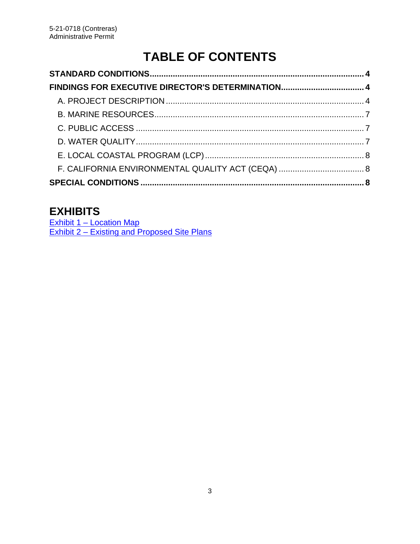# **TABLE OF CONTENTS**

## **EXHIBITS**

[Exhibit 1 – Location Map](https://documents.coastal.ca.gov/reports/2022/6/Th7b/Th7b-6-2022-exhibits.pdf) [Exhibit 2 – Existing and Proposed Site Plans](https://documents.coastal.ca.gov/reports/2022/6/Th7b/Th7b-6-2022-exhibits.pdf)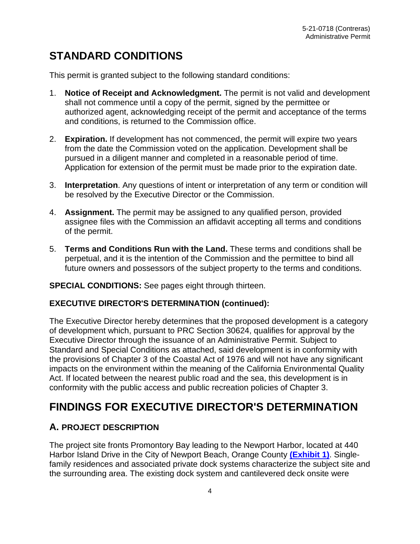## <span id="page-3-0"></span>**STANDARD CONDITIONS**

This permit is granted subject to the following standard conditions:

- 1. **Notice of Receipt and Acknowledgment.** The permit is not valid and development shall not commence until a copy of the permit, signed by the permittee or authorized agent, acknowledging receipt of the permit and acceptance of the terms and conditions, is returned to the Commission office.
- 2. **Expiration.** If development has not commenced, the permit will expire two years from the date the Commission voted on the application. Development shall be pursued in a diligent manner and completed in a reasonable period of time. Application for extension of the permit must be made prior to the expiration date.
- 3. **Interpretation**. Any questions of intent or interpretation of any term or condition will be resolved by the Executive Director or the Commission.
- 4. **Assignment.** The permit may be assigned to any qualified person, provided assignee files with the Commission an affidavit accepting all terms and conditions of the permit.
- 5. **Terms and Conditions Run with the Land.** These terms and conditions shall be perpetual, and it is the intention of the Commission and the permittee to bind all future owners and possessors of the subject property to the terms and conditions.

#### **SPECIAL CONDITIONS:** See pages eight through thirteen.

#### **EXECUTIVE DIRECTOR'S DETERMINATION (continued):**

The Executive Director hereby determines that the proposed development is a category of development which, pursuant to PRC Section 30624, qualifies for approval by the Executive Director through the issuance of an Administrative Permit. Subject to Standard and Special Conditions as attached, said development is in conformity with the provisions of Chapter 3 of the Coastal Act of 1976 and will not have any significant impacts on the environment within the meaning of the California Environmental Quality Act. If located between the nearest public road and the sea, this development is in conformity with the public access and public recreation policies of Chapter 3.

## <span id="page-3-1"></span>**FINDINGS FOR EXECUTIVE DIRECTOR'S DETERMINATION**

#### <span id="page-3-2"></span>**A. PROJECT DESCRIPTION**

The project site fronts Promontory Bay leading to the Newport Harbor, located at 440 Harbor Island Drive in the City of Newport Beach, Orange County **[\(Exhibit 1\)](https://documents.coastal.ca.gov/reports/2022/6/Th7b/Th7b-6-2022-exhibits.pdf)**. Singlefamily residences and associated private dock systems characterize the subject site and the surrounding area. The existing dock system and cantilevered deck onsite were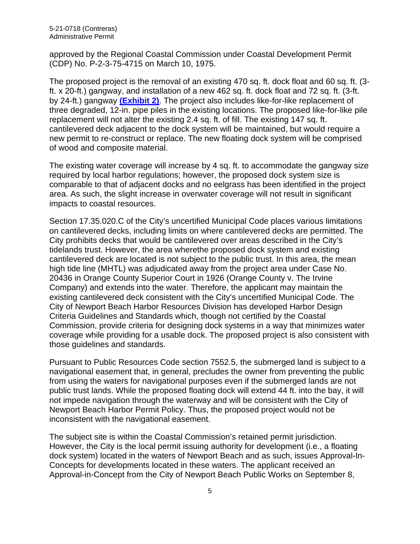approved by the Regional Coastal Commission under Coastal Development Permit (CDP) No. P-2-3-75-4715 on March 10, 1975.

The proposed project is the removal of an existing 470 sq. ft. dock float and 60 sq. ft. (3 ft. x 20-ft.) gangway, and installation of a new 462 sq. ft. dock float and 72 sq. ft. (3-ft. by 24-ft.) gangway **[\(Exhibit 2\)](https://documents.coastal.ca.gov/reports/2022/6/Th7b/Th7b-6-2022-exhibits.pdf)**. The project also includes like-for-like replacement of three degraded, 12-in. pipe piles in the existing locations. The proposed like-for-like pile replacement will not alter the existing 2.4 sq. ft. of fill. The existing 147 sq. ft. cantilevered deck adjacent to the dock system will be maintained, but would require a new permit to re-construct or replace. The new floating dock system will be comprised of wood and composite material.

The existing water coverage will increase by 4 sq. ft. to accommodate the gangway size required by local harbor regulations; however, the proposed dock system size is comparable to that of adjacent docks and no eelgrass has been identified in the project area. As such, the slight increase in overwater coverage will not result in significant impacts to coastal resources.

Section 17.35.020.C of the City's uncertified Municipal Code places various limitations on cantilevered decks, including limits on where cantilevered decks are permitted. The City prohibits decks that would be cantilevered over areas described in the City's tidelands trust. However, the area wherethe proposed dock system and existing cantilevered deck are located is not subject to the public trust. In this area, the mean high tide line (MHTL) was adjudicated away from the project area under Case No. 20436 in Orange County Superior Court in 1926 (Orange County v. The Irvine Company) and extends into the water. Therefore, the applicant may maintain the existing cantilevered deck consistent with the City's uncertified Municipal Code. The City of Newport Beach Harbor Resources Division has developed Harbor Design Criteria Guidelines and Standards which, though not certified by the Coastal Commission, provide criteria for designing dock systems in a way that minimizes water coverage while providing for a usable dock. The proposed project is also consistent with those guidelines and standards.

Pursuant to Public Resources Code section 7552.5, the submerged land is subject to a navigational easement that, in general, precludes the owner from preventing the public from using the waters for navigational purposes even if the submerged lands are not public trust lands. While the proposed floating dock will extend 44 ft. into the bay, it will not impede navigation through the waterway and will be consistent with the City of Newport Beach Harbor Permit Policy. Thus, the proposed project would not be inconsistent with the navigational easement.

The subject site is within the Coastal Commission's retained permit jurisdiction. However, the City is the local permit issuing authority for development (i.e., a floating dock system) located in the waters of Newport Beach and as such, issues Approval-In-Concepts for developments located in these waters. The applicant received an Approval-in-Concept from the City of Newport Beach Public Works on September 8,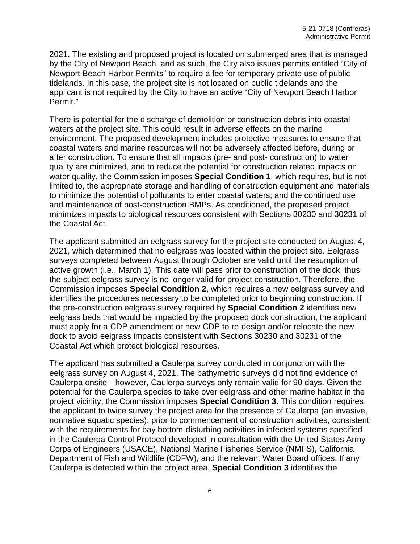2021. The existing and proposed project is located on submerged area that is managed by the City of Newport Beach, and as such, the City also issues permits entitled "City of Newport Beach Harbor Permits" to require a fee for temporary private use of public tidelands. In this case, the project site is not located on public tidelands and the applicant is not required by the City to have an active "City of Newport Beach Harbor Permit."

There is potential for the discharge of demolition or construction debris into coastal waters at the project site. This could result in adverse effects on the marine environment. The proposed development includes protective measures to ensure that coastal waters and marine resources will not be adversely affected before, during or after construction. To ensure that all impacts (pre- and post- construction) to water quality are minimized, and to reduce the potential for construction related impacts on water quality, the Commission imposes **Special Condition 1**, which requires, but is not limited to, the appropriate storage and handling of construction equipment and materials to minimize the potential of pollutants to enter coastal waters; and the continued use and maintenance of post-construction BMPs. As conditioned, the proposed project minimizes impacts to biological resources consistent with Sections 30230 and 30231 of the Coastal Act.

The applicant submitted an eelgrass survey for the project site conducted on August 4, 2021, which determined that no eelgrass was located within the project site. Eelgrass surveys completed between August through October are valid until the resumption of active growth (i.e., March 1). This date will pass prior to construction of the dock, thus the subject eelgrass survey is no longer valid for project construction. Therefore, the Commission imposes **Special Condition 2**, which requires a new eelgrass survey and identifies the procedures necessary to be completed prior to beginning construction. If the pre-construction eelgrass survey required by **Special Condition 2** identifies new eelgrass beds that would be impacted by the proposed dock construction, the applicant must apply for a CDP amendment or new CDP to re-design and/or relocate the new dock to avoid eelgrass impacts consistent with Sections 30230 and 30231 of the Coastal Act which protect biological resources.

The applicant has submitted a Caulerpa survey conducted in conjunction with the eelgrass survey on August 4, 2021. The bathymetric surveys did not find evidence of Caulerpa onsite—however, Caulerpa surveys only remain valid for 90 days. Given the potential for the Caulerpa species to take over eelgrass and other marine habitat in the project vicinity, the Commission imposes **Special Condition 3.** This condition requires the applicant to twice survey the project area for the presence of Caulerpa (an invasive, nonnative aquatic species), prior to commencement of construction activities, consistent with the requirements for bay bottom-disturbing activities in infected systems specified in the Caulerpa Control Protocol developed in consultation with the United States Army Corps of Engineers (USACE), National Marine Fisheries Service (NMFS), California Department of Fish and Wildlife (CDFW), and the relevant Water Board offices. If any Caulerpa is detected within the project area, **Special Condition 3** identifies the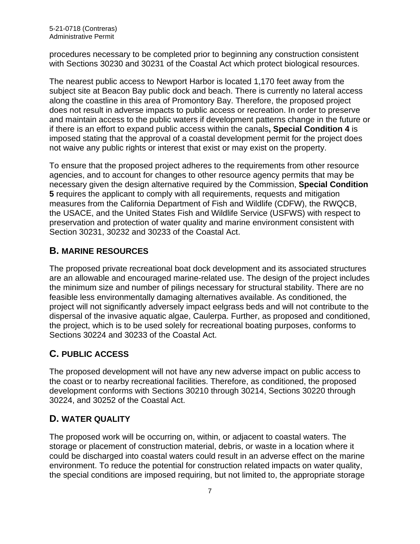procedures necessary to be completed prior to beginning any construction consistent with Sections 30230 and 30231 of the Coastal Act which protect biological resources.

The nearest public access to Newport Harbor is located 1,170 feet away from the subject site at Beacon Bay public dock and beach. There is currently no lateral access along the coastline in this area of Promontory Bay. Therefore, the proposed project does not result in adverse impacts to public access or recreation. In order to preserve and maintain access to the public waters if development patterns change in the future or if there is an effort to expand public access within the canals**, Special Condition 4** is imposed stating that the approval of a coastal development permit for the project does not waive any public rights or interest that exist or may exist on the property.

To ensure that the proposed project adheres to the requirements from other resource agencies, and to account for changes to other resource agency permits that may be necessary given the design alternative required by the Commission, **Special Condition 5** requires the applicant to comply with all requirements, requests and mitigation measures from the California Department of Fish and Wildlife (CDFW), the RWQCB, the USACE, and the United States Fish and Wildlife Service (USFWS) with respect to preservation and protection of water quality and marine environment consistent with Section 30231, 30232 and 30233 of the Coastal Act.

#### <span id="page-6-0"></span>**B. MARINE RESOURCES**

The proposed private recreational boat dock development and its associated structures are an allowable and encouraged marine-related use. The design of the project includes the minimum size and number of pilings necessary for structural stability. There are no feasible less environmentally damaging alternatives available. As conditioned, the project will not significantly adversely impact eelgrass beds and will not contribute to the dispersal of the invasive aquatic algae, Caulerpa. Further, as proposed and conditioned, the project, which is to be used solely for recreational boating purposes, conforms to Sections 30224 and 30233 of the Coastal Act.

### <span id="page-6-1"></span>**C. PUBLIC ACCESS**

The proposed development will not have any new adverse impact on public access to the coast or to nearby recreational facilities. Therefore, as conditioned, the proposed development conforms with Sections 30210 through 30214, Sections 30220 through 30224, and 30252 of the Coastal Act.

#### <span id="page-6-2"></span>**D. WATER QUALITY**

The proposed work will be occurring on, within, or adjacent to coastal waters. The storage or placement of construction material, debris, or waste in a location where it could be discharged into coastal waters could result in an adverse effect on the marine environment. To reduce the potential for construction related impacts on water quality, the special conditions are imposed requiring, but not limited to, the appropriate storage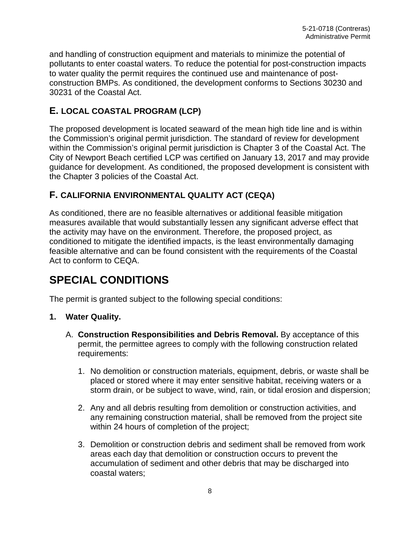and handling of construction equipment and materials to minimize the potential of pollutants to enter coastal waters. To reduce the potential for post-construction impacts to water quality the permit requires the continued use and maintenance of postconstruction BMPs. As conditioned, the development conforms to Sections 30230 and 30231 of the Coastal Act.

#### <span id="page-7-0"></span>**E. LOCAL COASTAL PROGRAM (LCP)**

The proposed development is located seaward of the mean high tide line and is within the Commission's original permit jurisdiction. The standard of review for development within the Commission's original permit jurisdiction is Chapter 3 of the Coastal Act. The City of Newport Beach certified LCP was certified on January 13, 2017 and may provide guidance for development. As conditioned, the proposed development is consistent with the Chapter 3 policies of the Coastal Act.

#### <span id="page-7-1"></span>**F. CALIFORNIA ENVIRONMENTAL QUALITY ACT (CEQA)**

As conditioned, there are no feasible alternatives or additional feasible mitigation measures available that would substantially lessen any significant adverse effect that the activity may have on the environment. Therefore, the proposed project, as conditioned to mitigate the identified impacts, is the least environmentally damaging feasible alternative and can be found consistent with the requirements of the Coastal Act to conform to CEQA.

## <span id="page-7-2"></span>**SPECIAL CONDITIONS**

The permit is granted subject to the following special conditions:

#### **1. Water Quality.**

- A. **Construction Responsibilities and Debris Removal.** By acceptance of this permit, the permittee agrees to comply with the following construction related requirements:
	- 1. No demolition or construction materials, equipment, debris, or waste shall be placed or stored where it may enter sensitive habitat, receiving waters or a storm drain, or be subject to wave, wind, rain, or tidal erosion and dispersion;
	- 2. Any and all debris resulting from demolition or construction activities, and any remaining construction material, shall be removed from the project site within 24 hours of completion of the project;
	- 3. Demolition or construction debris and sediment shall be removed from work areas each day that demolition or construction occurs to prevent the accumulation of sediment and other debris that may be discharged into coastal waters;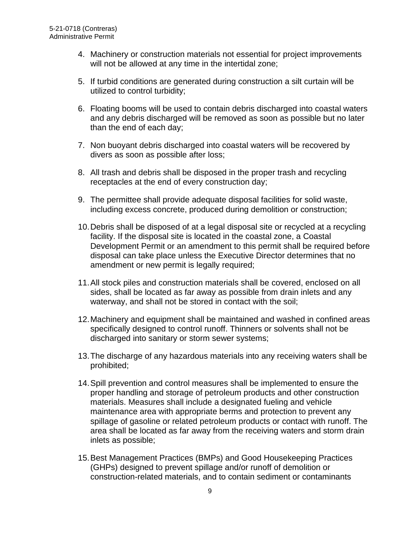- 4. Machinery or construction materials not essential for project improvements will not be allowed at any time in the intertidal zone;
- 5. If turbid conditions are generated during construction a silt curtain will be utilized to control turbidity;
- 6. Floating booms will be used to contain debris discharged into coastal waters and any debris discharged will be removed as soon as possible but no later than the end of each day;
- 7. Non buoyant debris discharged into coastal waters will be recovered by divers as soon as possible after loss;
- 8. All trash and debris shall be disposed in the proper trash and recycling receptacles at the end of every construction day;
- 9. The permittee shall provide adequate disposal facilities for solid waste, including excess concrete, produced during demolition or construction;
- 10.Debris shall be disposed of at a legal disposal site or recycled at a recycling facility. If the disposal site is located in the coastal zone, a Coastal Development Permit or an amendment to this permit shall be required before disposal can take place unless the Executive Director determines that no amendment or new permit is legally required;
- 11.All stock piles and construction materials shall be covered, enclosed on all sides, shall be located as far away as possible from drain inlets and any waterway, and shall not be stored in contact with the soil;
- 12.Machinery and equipment shall be maintained and washed in confined areas specifically designed to control runoff. Thinners or solvents shall not be discharged into sanitary or storm sewer systems;
- 13.The discharge of any hazardous materials into any receiving waters shall be prohibited;
- 14.Spill prevention and control measures shall be implemented to ensure the proper handling and storage of petroleum products and other construction materials. Measures shall include a designated fueling and vehicle maintenance area with appropriate berms and protection to prevent any spillage of gasoline or related petroleum products or contact with runoff. The area shall be located as far away from the receiving waters and storm drain inlets as possible;
- 15.Best Management Practices (BMPs) and Good Housekeeping Practices (GHPs) designed to prevent spillage and/or runoff of demolition or construction-related materials, and to contain sediment or contaminants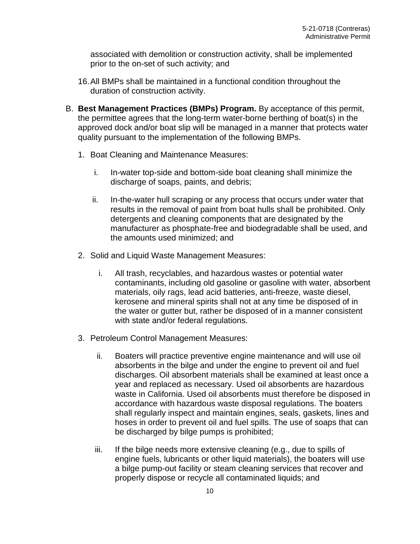associated with demolition or construction activity, shall be implemented prior to the on-set of such activity; and

- 16.All BMPs shall be maintained in a functional condition throughout the duration of construction activity.
- B. **Best Management Practices (BMPs) Program.** By acceptance of this permit, the permittee agrees that the long-term water-borne berthing of boat(s) in the approved dock and/or boat slip will be managed in a manner that protects water quality pursuant to the implementation of the following BMPs.
	- 1. Boat Cleaning and Maintenance Measures:
		- i. In-water top-side and bottom-side boat cleaning shall minimize the discharge of soaps, paints, and debris;
		- ii. In-the-water hull scraping or any process that occurs under water that results in the removal of paint from boat hulls shall be prohibited. Only detergents and cleaning components that are designated by the manufacturer as phosphate-free and biodegradable shall be used, and the amounts used minimized; and
	- 2. Solid and Liquid Waste Management Measures:
		- i. All trash, recyclables, and hazardous wastes or potential water contaminants, including old gasoline or gasoline with water, absorbent materials, oily rags, lead acid batteries, anti-freeze, waste diesel, kerosene and mineral spirits shall not at any time be disposed of in the water or gutter but, rather be disposed of in a manner consistent with state and/or federal regulations.
	- 3. Petroleum Control Management Measures:
		- ii. Boaters will practice preventive engine maintenance and will use oil absorbents in the bilge and under the engine to prevent oil and fuel discharges. Oil absorbent materials shall be examined at least once a year and replaced as necessary. Used oil absorbents are hazardous waste in California. Used oil absorbents must therefore be disposed in accordance with hazardous waste disposal regulations. The boaters shall regularly inspect and maintain engines, seals, gaskets, lines and hoses in order to prevent oil and fuel spills. The use of soaps that can be discharged by bilge pumps is prohibited;
		- iii. If the bilge needs more extensive cleaning (e.g., due to spills of engine fuels, lubricants or other liquid materials), the boaters will use a bilge pump-out facility or steam cleaning services that recover and properly dispose or recycle all contaminated liquids; and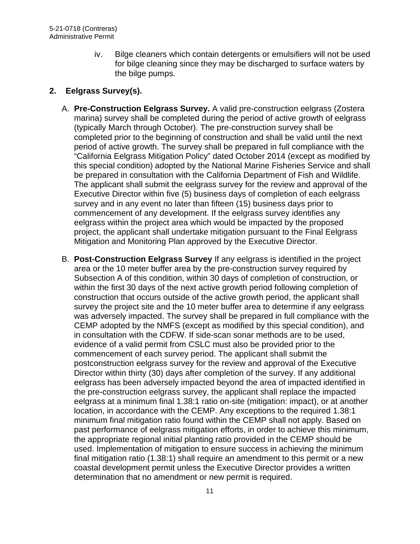iv. Bilge cleaners which contain detergents or emulsifiers will not be used for bilge cleaning since they may be discharged to surface waters by the bilge pumps.

#### **2. Eelgrass Survey(s).**

- A. **Pre-Construction Eelgrass Survey.** A valid pre-construction eelgrass (Zostera marina) survey shall be completed during the period of active growth of eelgrass (typically March through October). The pre-construction survey shall be completed prior to the beginning of construction and shall be valid until the next period of active growth. The survey shall be prepared in full compliance with the "California Eelgrass Mitigation Policy" dated October 2014 (except as modified by this special condition) adopted by the National Marine Fisheries Service and shall be prepared in consultation with the California Department of Fish and Wildlife. The applicant shall submit the eelgrass survey for the review and approval of the Executive Director within five (5) business days of completion of each eelgrass survey and in any event no later than fifteen (15) business days prior to commencement of any development. If the eelgrass survey identifies any eelgrass within the project area which would be impacted by the proposed project, the applicant shall undertake mitigation pursuant to the Final Eelgrass Mitigation and Monitoring Plan approved by the Executive Director.
- B. **Post-Construction Eelgrass Survey** If any eelgrass is identified in the project area or the 10 meter buffer area by the pre-construction survey required by Subsection A of this condition, within 30 days of completion of construction, or within the first 30 days of the next active growth period following completion of construction that occurs outside of the active growth period, the applicant shall survey the project site and the 10 meter buffer area to determine if any eelgrass was adversely impacted. The survey shall be prepared in full compliance with the CEMP adopted by the NMFS (except as modified by this special condition), and in consultation with the CDFW. If side-scan sonar methods are to be used, evidence of a valid permit from CSLC must also be provided prior to the commencement of each survey period. The applicant shall submit the postconstruction eelgrass survey for the review and approval of the Executive Director within thirty (30) days after completion of the survey. If any additional eelgrass has been adversely impacted beyond the area of impacted identified in the pre-construction eelgrass survey, the applicant shall replace the impacted eelgrass at a minimum final 1.38:1 ratio on-site (mitigation: impact), or at another location, in accordance with the CEMP. Any exceptions to the required 1.38:1 minimum final mitigation ratio found within the CEMP shall not apply. Based on past performance of eelgrass mitigation efforts, in order to achieve this minimum, the appropriate regional initial planting ratio provided in the CEMP should be used. Implementation of mitigation to ensure success in achieving the minimum final mitigation ratio (1.38:1) shall require an amendment to this permit or a new coastal development permit unless the Executive Director provides a written determination that no amendment or new permit is required.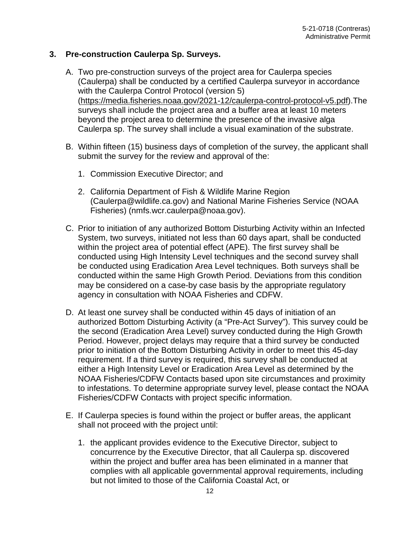#### **3. Pre-construction Caulerpa Sp. Surveys.**

- A. Two pre-construction surveys of the project area for Caulerpa species (Caulerpa) shall be conducted by a certified Caulerpa surveyor in accordance with the Caulerpa Control Protocol (version 5) [\(https://media.fisheries.noaa.gov/2021-12/caulerpa-control-protocol-v5.pdf\)](https://media.fisheries.noaa.gov/2021-12/caulerpa-control-protocol-v5.pdf).The surveys shall include the project area and a buffer area at least 10 meters beyond the project area to determine the presence of the invasive alga Caulerpa sp. The survey shall include a visual examination of the substrate.
- B. Within fifteen (15) business days of completion of the survey, the applicant shall submit the survey for the review and approval of the:
	- 1. Commission Executive Director; and
	- 2. California Department of Fish & Wildlife Marine Region (Caulerpa@wildlife.ca.gov) and National Marine Fisheries Service (NOAA Fisheries) (nmfs.wcr.caulerpa@noaa.gov).
- C. Prior to initiation of any authorized Bottom Disturbing Activity within an Infected System, two surveys, initiated not less than 60 days apart, shall be conducted within the project area of potential effect (APE). The first survey shall be conducted using High Intensity Level techniques and the second survey shall be conducted using Eradication Area Level techniques. Both surveys shall be conducted within the same High Growth Period. Deviations from this condition may be considered on a case-by case basis by the appropriate regulatory agency in consultation with NOAA Fisheries and CDFW.
- D. At least one survey shall be conducted within 45 days of initiation of an authorized Bottom Disturbing Activity (a "Pre-Act Survey"). This survey could be the second (Eradication Area Level) survey conducted during the High Growth Period. However, project delays may require that a third survey be conducted prior to initiation of the Bottom Disturbing Activity in order to meet this 45-day requirement. If a third survey is required, this survey shall be conducted at either a High Intensity Level or Eradication Area Level as determined by the NOAA Fisheries/CDFW Contacts based upon site circumstances and proximity to infestations. To determine appropriate survey level, please contact the NOAA Fisheries/CDFW Contacts with project specific information.
- E. If Caulerpa species is found within the project or buffer areas, the applicant shall not proceed with the project until:
	- 1. the applicant provides evidence to the Executive Director, subject to concurrence by the Executive Director, that all Caulerpa sp. discovered within the project and buffer area has been eliminated in a manner that complies with all applicable governmental approval requirements, including but not limited to those of the California Coastal Act, or